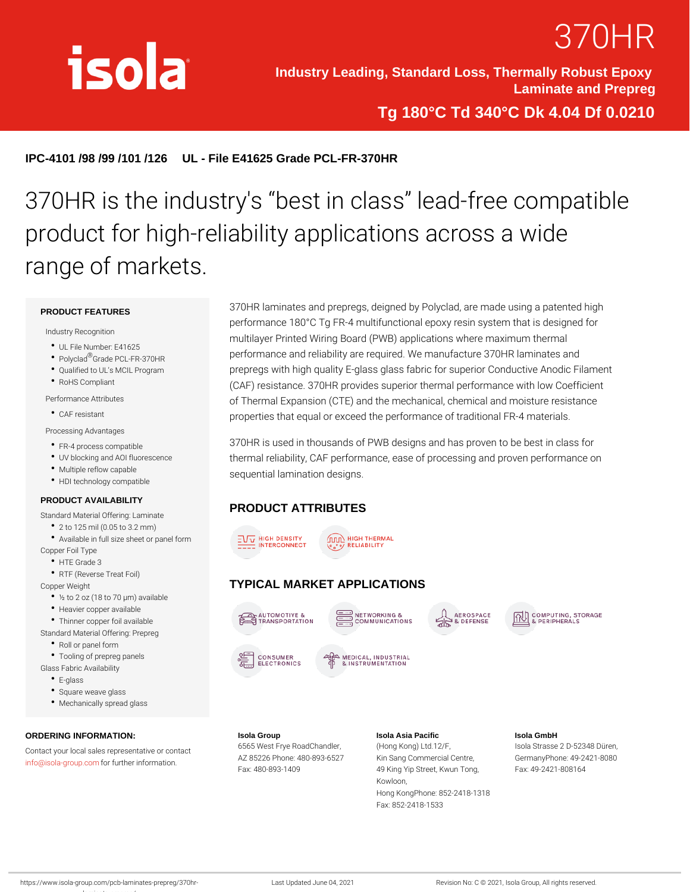# 370HR

Industry Leading, Standard Loss, Thermally Robust Epoxy Laminate and Prepreg

Tg 180°C Td 340°C Dk 4.04 Df 0.0210

IPC-4101 /98 /99 /101 /126 UL - File E41625 Grade PCL-FR-370HR

## 370HR is the industry's best in class product for high-reliability applications range of markets.

#### PRODUCT FEATURES

#### Industry Recognition

- UL File Number: E41625
- Polyc<sup>®</sup> adade PCL-FR-370HR
- 
- RoHS Compliant

Performance Attributes

CAF resistant

Processing Advantages

FR-4 process compatible

- Qualified to UL s MCIL Programprepregs with high quality E-glass glass fabric for superior Con 370HR laminates and prepregs, deigned by Polyclad, are made performance 180°C Tg FR-4 multifunctional epoxy resin system multilayer Printed Wiring Board (PWB) applications where maxi performance and reliability are required. We manufacture 370H  $(CAF)$  resistance. 370HR provides superior thermal performance of Thermal Expansion (CTE) and the mechanical, chemical and properties that equal or exceed the performance of traditional I
- UV blocking and AOI fluorescent reermal reliability, CAF performance, ease of processing and pr Multiple reflow capable 370HR is used in thousands of PWB designs and has proven to sequential lamination designs.

Fax: 852-2418-1533

HDI technology compatible

#### PRODUCT AVAILABILITY

#### PRODUCT ATTRIBUTES

- Standard Material Offering: Laminate 2 to 125 mil (0.05 to 3.2 mm)
- Available in full size sheet or panel form
- Copper Foil Type
	- HTE Grade 3
	- RTF (Reverse Treat Foil)
- Copper Weight
	- ½ to 2 oz (18 to 70 µm) available TYPICAL MARKET APPLICATIONS
	- Heavier copper available
	- Thinner copper foil available
- Standard Material Offering: Prepreg
- Roll or panel form
- Tooling of prepreg panels
- Glass Fabric Availability
- E-glass
- Square weave glass
- Mechanically spread glass

laminate-prepreg/

ORDERING INFORMATION: Contact your local sales representative or contact Frye RoadChandleng Kong) Ltd.12/F, Isola Strasse 2 D-52348 Düren, [info@isola-gr](mailto:info@isola-group.com)ofup.com ther information. AZ 85226 Phone: 480-893K662Syang Commercial CenGreer, manyPhone: 49-2421-8080 Isola Group Fax: 480-893-1409 Isola Asia Pacific 49 King Yip Street, Kwun FTaoxn:g 49-2421-808164 Kowloon, Hong KongPhone: 852-2418-1318 Isola GmbH

https://www.isola-group.com/pcb-laminates-prepreg/ LaGent Updated June 04, 2021 Revision No: C © 2021, Isola Group, All rights reser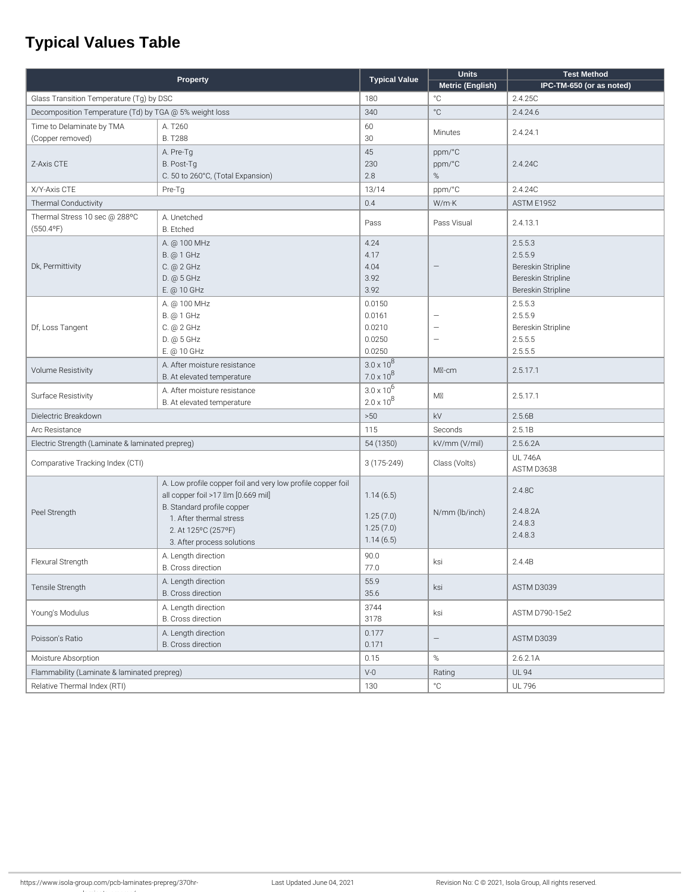### **Typical Values Table**

| <b>Property</b>                                        |                                                                                                                                                                                                                 |                                                  | <b>Units</b>                                         | <b>Test Method</b>                                                                   |
|--------------------------------------------------------|-----------------------------------------------------------------------------------------------------------------------------------------------------------------------------------------------------------------|--------------------------------------------------|------------------------------------------------------|--------------------------------------------------------------------------------------|
|                                                        |                                                                                                                                                                                                                 | <b>Typical Value</b>                             | Metric (English)                                     | IPC-TM-650 (or as noted)                                                             |
| Glass Transition Temperature (Tg) by DSC               |                                                                                                                                                                                                                 | 180                                              | °C                                                   | 2.4.25C                                                                              |
| Decomposition Temperature (Td) by TGA @ 5% weight loss |                                                                                                                                                                                                                 | 340                                              | °C                                                   | 2.4.24.6                                                                             |
| Time to Delaminate by TMA<br>(Copper removed)          | A. T260<br><b>B. T288</b>                                                                                                                                                                                       | 60<br>30                                         | Minutes                                              | 2.4.24.1                                                                             |
| Z-Axis CTE                                             | A. Pre-Tg<br>B. Post-Tg<br>C. 50 to 260°C, (Total Expansion)                                                                                                                                                    | 45<br>230<br>2.8                                 | ppm/°C<br>ppm/°C<br>%                                | 2.4.24C                                                                              |
| X/Y-Axis CTE                                           | Pre-Tg                                                                                                                                                                                                          | 13/14                                            | ppm/°C                                               | 2.4.24C                                                                              |
| Thermal Conductivity                                   |                                                                                                                                                                                                                 | 0.4                                              | W/m·K                                                | <b>ASTM E1952</b>                                                                    |
| Thermal Stress 10 sec @ 288°C<br>$(550.4^{\circ}F)$    | A. Unetched<br><b>B.</b> Etched                                                                                                                                                                                 | Pass                                             | Pass Visual                                          | 2.4.13.1                                                                             |
| Dk, Permittivity                                       | A. @ 100 MHz<br><b>B.</b> @ 1 GHz<br>C. @ 2 GHz<br>D. @ 5 GHz<br>E. @ 10 GHz                                                                                                                                    | 4.24<br>4.17<br>4.04<br>3.92<br>3.92             |                                                      | 2.5.5.3<br>2.5.5.9<br>Bereskin Stripline<br>Bereskin Stripline<br>Bereskin Stripline |
| Df, Loss Tangent                                       | A. @ 100 MHz<br>B. @ 1 GHz<br>C. @ 2 GHz<br>D. @ 5 GHz<br>E. @ 10 GHz                                                                                                                                           | 0.0150<br>0.0161<br>0.0210<br>0.0250<br>0.0250   | $\overline{\phantom{0}}$<br>$\overline{\phantom{0}}$ | 2.5.5.3<br>2.5.5.9<br>Bereskin Stripline<br>2.5.5.5<br>2.5.5.5                       |
| <b>Volume Resistivity</b>                              | A. After moisture resistance<br>B. At elevated temperature                                                                                                                                                      | $3.0 \times 10^{8}$<br>$7.0 \times 10^8$         | MI-cm                                                | 2.5.17.1                                                                             |
| Surface Resistivity                                    | A. After moisture resistance<br>B. At elevated temperature                                                                                                                                                      | $3.0 \times 10^{6}$<br>$2.0 \times 10^{8}$       | $M\n \nabla$                                         | 2.5.17.1                                                                             |
| Dielectric Breakdown                                   |                                                                                                                                                                                                                 | >50                                              | kV                                                   | 2.5.6B                                                                               |
| Arc Resistance                                         |                                                                                                                                                                                                                 | 115                                              | Seconds                                              | 2.5.1B                                                                               |
| Electric Strength (Laminate & laminated prepreg)       |                                                                                                                                                                                                                 | 54 (1350)                                        | kV/mm (V/mil)                                        | 2.5.6.2A                                                                             |
| Comparative Tracking Index (CTI)                       |                                                                                                                                                                                                                 | $3(175-249)$                                     | Class (Volts)                                        | <b>UL 746A</b><br>ASTM D3638                                                         |
| Peel Strength                                          | A. Low profile copper foil and very low profile copper foil<br>all copper foil >17 \m [0.669 mil]<br>B. Standard profile copper<br>1. After thermal stress<br>2. At 125°C (257°F)<br>3. After process solutions | 1.14(6.5)<br>1.25(7.0)<br>1.25(7.0)<br>1.14(6.5) | N/mm (lb/inch)                                       | 2.4.8C<br>2.4.8.2A<br>2.4.8.3<br>2.4.8.3                                             |
| Flexural Strength                                      | A. Length direction<br>B. Cross direction                                                                                                                                                                       | 90.0<br>77.0                                     | ksi                                                  | 2.4.4B                                                                               |
| Tensile Strength                                       | A. Length direction<br>B. Cross direction                                                                                                                                                                       | 55.9<br>35.6                                     | ksi                                                  | ASTM D3039                                                                           |
| Young's Modulus                                        | A. Length direction<br>B. Cross direction                                                                                                                                                                       | 3744<br>3178                                     | ksi                                                  | ASTM D790-15e2                                                                       |
| Poisson's Ratio                                        | A. Length direction<br>B. Cross direction                                                                                                                                                                       | 0.177<br>0.171                                   | $\overline{\phantom{0}}$                             | ASTM D3039                                                                           |
| Moisture Absorption                                    |                                                                                                                                                                                                                 | 0.15                                             | $\%$                                                 | 2.6.2.1A                                                                             |
| Flammability (Laminate & laminated prepreg)            |                                                                                                                                                                                                                 | $V-0$                                            | Rating                                               | <b>UL 94</b>                                                                         |
| Relative Thermal Index (RTI)                           |                                                                                                                                                                                                                 | 130                                              | $^{\circ}{\rm C}$                                    | <b>UL 796</b>                                                                        |
|                                                        |                                                                                                                                                                                                                 |                                                  |                                                      |                                                                                      |